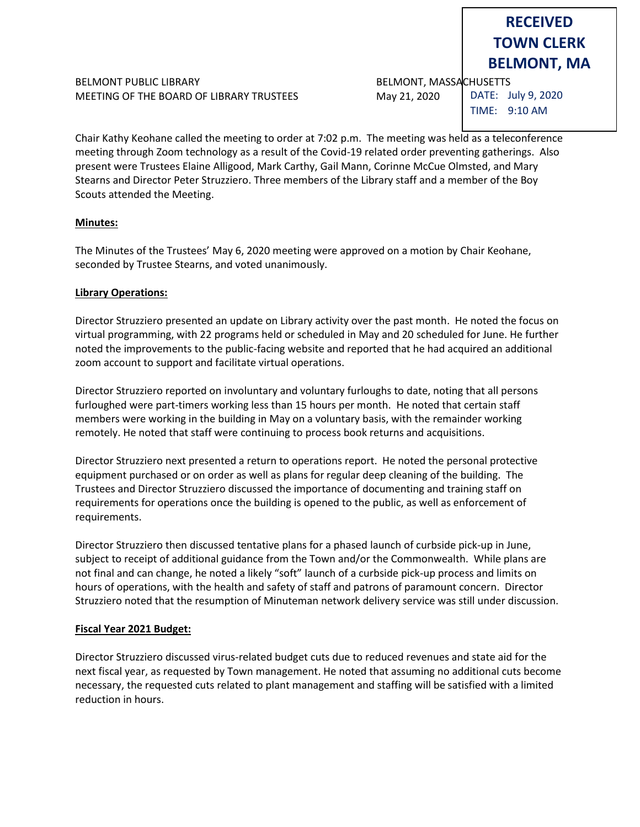# BELMONT PUBLIC LIBRARY BELMONT, MASSACHUSETTS MEETING OF THE BOARD OF LIBRARY TRUSTEES May 21, 2020

DATE: July 9, 2020

**RECEIVED TOWN CLERK BELMONT, MA**

TIME: 9:10 AM

Chair Kathy Keohane called the meeting to order at 7:02 p.m. The meeting was held as a teleconference meeting through Zoom technology as a result of the Covid-19 related order preventing gatherings. Also present were Trustees Elaine Alligood, Mark Carthy, Gail Mann, Corinne McCue Olmsted, and Mary Stearns and Director Peter Struzziero. Three members of the Library staff and a member of the Boy Scouts attended the Meeting.

### **Minutes:**

The Minutes of the Trustees' May 6, 2020 meeting were approved on a motion by Chair Keohane, seconded by Trustee Stearns, and voted unanimously.

### **Library Operations:**

Director Struzziero presented an update on Library activity over the past month. He noted the focus on virtual programming, with 22 programs held or scheduled in May and 20 scheduled for June. He further noted the improvements to the public-facing website and reported that he had acquired an additional zoom account to support and facilitate virtual operations.

Director Struzziero reported on involuntary and voluntary furloughs to date, noting that all persons furloughed were part-timers working less than 15 hours per month. He noted that certain staff members were working in the building in May on a voluntary basis, with the remainder working remotely. He noted that staff were continuing to process book returns and acquisitions.

Director Struzziero next presented a return to operations report. He noted the personal protective equipment purchased or on order as well as plans for regular deep cleaning of the building. The Trustees and Director Struzziero discussed the importance of documenting and training staff on requirements for operations once the building is opened to the public, as well as enforcement of requirements.

Director Struzziero then discussed tentative plans for a phased launch of curbside pick-up in June, subject to receipt of additional guidance from the Town and/or the Commonwealth. While plans are not final and can change, he noted a likely "soft" launch of a curbside pick-up process and limits on hours of operations, with the health and safety of staff and patrons of paramount concern. Director Struzziero noted that the resumption of Minuteman network delivery service was still under discussion.

#### **Fiscal Year 2021 Budget:**

Director Struzziero discussed virus-related budget cuts due to reduced revenues and state aid for the next fiscal year, as requested by Town management. He noted that assuming no additional cuts become necessary, the requested cuts related to plant management and staffing will be satisfied with a limited reduction in hours.